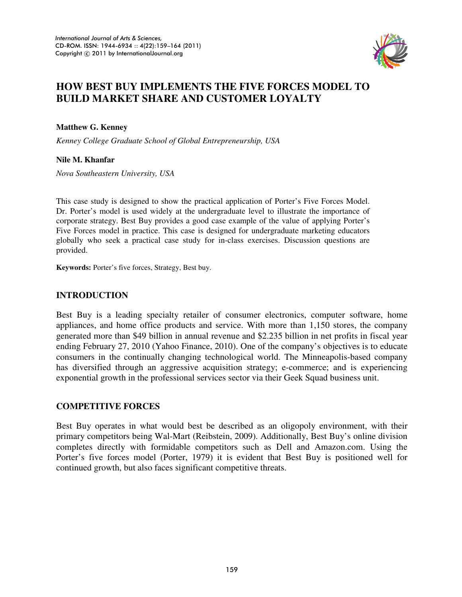

# **HOW BEST BUY IMPLEMENTS THE FIVE FORCES MODEL TO BUILD MARKET SHARE AND CUSTOMER LOYALTY**

**Matthew G. Kenney** 

*Kenney College Graduate School of Global Entrepreneurship, USA* 

### **Nile M. Khanfar**

*Nova Southeastern University, USA* 

This case study is designed to show the practical application of Porter's Five Forces Model. Dr. Porter's model is used widely at the undergraduate level to illustrate the importance of corporate strategy. Best Buy provides a good case example of the value of applying Porter's Five Forces model in practice. This case is designed for undergraduate marketing educators globally who seek a practical case study for in-class exercises. Discussion questions are provided.

**Keywords:** Porter's five forces, Strategy, Best buy.

# **INTRODUCTION**

Best Buy is a leading specialty retailer of consumer electronics, computer software, home appliances, and home office products and service. With more than 1,150 stores, the company generated more than \$49 billion in annual revenue and \$2.235 billion in net profits in fiscal year ending February 27, 2010 (Yahoo Finance, 2010). One of the company's objectives is to educate consumers in the continually changing technological world. The Minneapolis-based company has diversified through an aggressive acquisition strategy; e-commerce; and is experiencing exponential growth in the professional services sector via their Geek Squad business unit.

# **COMPETITIVE FORCES**

Best Buy operates in what would best be described as an oligopoly environment, with their primary competitors being Wal-Mart (Reibstein, 2009). Additionally, Best Buy's online division completes directly with formidable competitors such as Dell and Amazon.com. Using the Porter's five forces model (Porter, 1979) it is evident that Best Buy is positioned well for continued growth, but also faces significant competitive threats.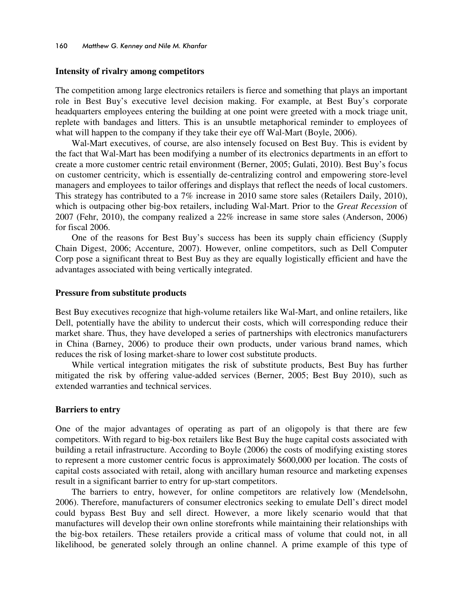#### **Intensity of rivalry among competitors**

The competition among large electronics retailers is fierce and something that plays an important role in Best Buy's executive level decision making. For example, at Best Buy's corporate headquarters employees entering the building at one point were greeted with a mock triage unit, replete with bandages and litters. This is an unsubtle metaphorical reminder to employees of what will happen to the company if they take their eye off Wal-Mart (Boyle, 2006).

Wal-Mart executives, of course, are also intensely focused on Best Buy. This is evident by the fact that Wal-Mart has been modifying a number of its electronics departments in an effort to create a more customer centric retail environment (Berner, 2005; Gulati, 2010). Best Buy's focus on customer centricity, which is essentially de-centralizing control and empowering store-level managers and employees to tailor offerings and displays that reflect the needs of local customers. This strategy has contributed to a 7% increase in 2010 same store sales (Retailers Daily, 2010), which is outpacing other big-box retailers, including Wal-Mart. Prior to the *Great Recession* of 2007 (Fehr, 2010), the company realized a 22% increase in same store sales (Anderson, 2006) for fiscal 2006.

One of the reasons for Best Buy's success has been its supply chain efficiency (Supply Chain Digest, 2006; Accenture, 2007). However, online competitors, such as Dell Computer Corp pose a significant threat to Best Buy as they are equally logistically efficient and have the advantages associated with being vertically integrated.

#### **Pressure from substitute products**

Best Buy executives recognize that high-volume retailers like Wal-Mart, and online retailers, like Dell, potentially have the ability to undercut their costs, which will corresponding reduce their market share. Thus, they have developed a series of partnerships with electronics manufacturers in China (Barney, 2006) to produce their own products, under various brand names, which reduces the risk of losing market-share to lower cost substitute products.

While vertical integration mitigates the risk of substitute products, Best Buy has further mitigated the risk by offering value-added services (Berner, 2005; Best Buy 2010), such as extended warranties and technical services.

#### **Barriers to entry**

One of the major advantages of operating as part of an oligopoly is that there are few competitors. With regard to big-box retailers like Best Buy the huge capital costs associated with building a retail infrastructure. According to Boyle (2006) the costs of modifying existing stores to represent a more customer centric focus is approximately \$600,000 per location. The costs of capital costs associated with retail, along with ancillary human resource and marketing expenses result in a significant barrier to entry for up-start competitors.

The barriers to entry, however, for online competitors are relatively low (Mendelsohn, 2006). Therefore, manufacturers of consumer electronics seeking to emulate Dell's direct model could bypass Best Buy and sell direct. However, a more likely scenario would that that manufactures will develop their own online storefronts while maintaining their relationships with the big-box retailers. These retailers provide a critical mass of volume that could not, in all likelihood, be generated solely through an online channel. A prime example of this type of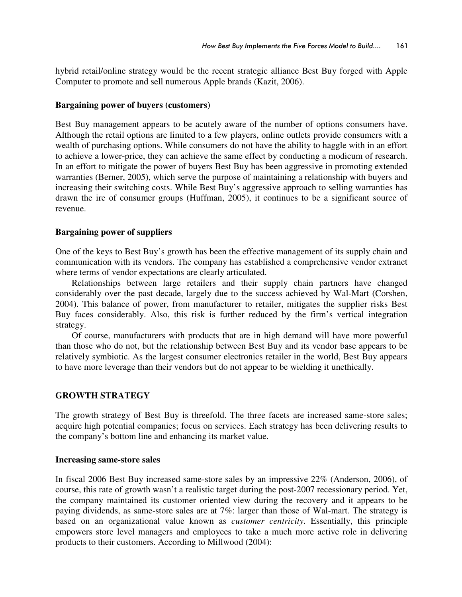hybrid retail/online strategy would be the recent strategic alliance Best Buy forged with Apple Computer to promote and sell numerous Apple brands (Kazit, 2006).

### **Bargaining power of buyers (customers)**

Best Buy management appears to be acutely aware of the number of options consumers have. Although the retail options are limited to a few players, online outlets provide consumers with a wealth of purchasing options. While consumers do not have the ability to haggle with in an effort to achieve a lower-price, they can achieve the same effect by conducting a modicum of research. In an effort to mitigate the power of buyers Best Buy has been aggressive in promoting extended warranties (Berner, 2005), which serve the purpose of maintaining a relationship with buyers and increasing their switching costs. While Best Buy's aggressive approach to selling warranties has drawn the ire of consumer groups (Huffman, 2005), it continues to be a significant source of revenue.

# **Bargaining power of suppliers**

One of the keys to Best Buy's growth has been the effective management of its supply chain and communication with its vendors. The company has established a comprehensive vendor extranet where terms of vendor expectations are clearly articulated.

Relationships between large retailers and their supply chain partners have changed considerably over the past decade, largely due to the success achieved by Wal-Mart (Corshen, 2004). This balance of power, from manufacturer to retailer, mitigates the supplier risks Best Buy faces considerably. Also, this risk is further reduced by the firm's vertical integration strategy.

Of course, manufacturers with products that are in high demand will have more powerful than those who do not, but the relationship between Best Buy and its vendor base appears to be relatively symbiotic. As the largest consumer electronics retailer in the world, Best Buy appears to have more leverage than their vendors but do not appear to be wielding it unethically.

# **GROWTH STRATEGY**

The growth strategy of Best Buy is threefold. The three facets are increased same-store sales; acquire high potential companies; focus on services. Each strategy has been delivering results to the company's bottom line and enhancing its market value.

### **Increasing same-store sales**

In fiscal 2006 Best Buy increased same-store sales by an impressive 22% (Anderson, 2006), of course, this rate of growth wasn't a realistic target during the post-2007 recessionary period. Yet, the company maintained its customer oriented view during the recovery and it appears to be paying dividends, as same-store sales are at 7%: larger than those of Wal-mart. The strategy is based on an organizational value known as *customer centricity*. Essentially, this principle empowers store level managers and employees to take a much more active role in delivering products to their customers. According to Millwood (2004):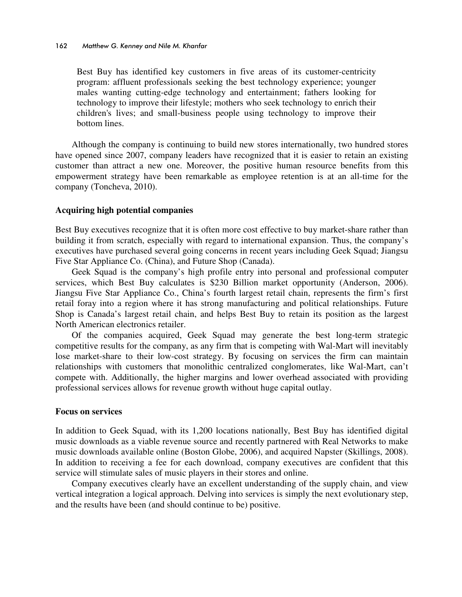Best Buy has identified key customers in five areas of its customer-centricity program: affluent professionals seeking the best technology experience; younger males wanting cutting-edge technology and entertainment; fathers looking for technology to improve their lifestyle; mothers who seek technology to enrich their children's lives; and small-business people using technology to improve their bottom lines.

Although the company is continuing to build new stores internationally, two hundred stores have opened since 2007, company leaders have recognized that it is easier to retain an existing customer than attract a new one. Moreover, the positive human resource benefits from this empowerment strategy have been remarkable as employee retention is at an all-time for the company (Toncheva, 2010).

### **Acquiring high potential companies**

Best Buy executives recognize that it is often more cost effective to buy market-share rather than building it from scratch, especially with regard to international expansion. Thus, the company's executives have purchased several going concerns in recent years including Geek Squad; Jiangsu Five Star Appliance Co. (China), and Future Shop (Canada).

Geek Squad is the company's high profile entry into personal and professional computer services, which Best Buy calculates is \$230 Billion market opportunity (Anderson, 2006). Jiangsu Five Star Appliance Co., China's fourth largest retail chain, represents the firm's first retail foray into a region where it has strong manufacturing and political relationships. Future Shop is Canada's largest retail chain, and helps Best Buy to retain its position as the largest North American electronics retailer.

Of the companies acquired, Geek Squad may generate the best long-term strategic competitive results for the company, as any firm that is competing with Wal-Mart will inevitably lose market-share to their low-cost strategy. By focusing on services the firm can maintain relationships with customers that monolithic centralized conglomerates, like Wal-Mart, can't compete with. Additionally, the higher margins and lower overhead associated with providing professional services allows for revenue growth without huge capital outlay.

### **Focus on services**

In addition to Geek Squad, with its 1,200 locations nationally, Best Buy has identified digital music downloads as a viable revenue source and recently partnered with Real Networks to make music downloads available online (Boston Globe, 2006), and acquired Napster (Skillings, 2008). In addition to receiving a fee for each download, company executives are confident that this service will stimulate sales of music players in their stores and online.

Company executives clearly have an excellent understanding of the supply chain, and view vertical integration a logical approach. Delving into services is simply the next evolutionary step, and the results have been (and should continue to be) positive.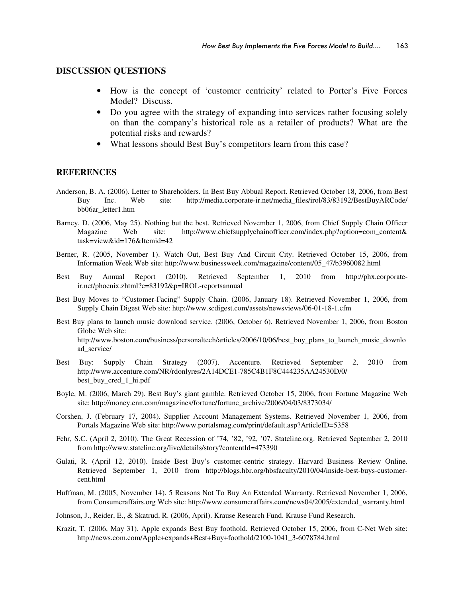#### **DISCUSSION QUESTIONS**

- How is the concept of 'customer centricity' related to Porter's Five Forces Model? Discuss.
- Do you agree with the strategy of expanding into services rather focusing solely on than the company's historical role as a retailer of products? What are the potential risks and rewards?
- What lessons should Best Buy's competitors learn from this case?

#### **REFERENCES**

- Anderson, B. A. (2006). Letter to Shareholders. In Best Buy Abbual Report. Retrieved October 18, 2006, from Best Buy Inc. Web site: http://media.corporate-ir.net/media\_files/irol/83/83192/BestBuyARCode/ bb06ar\_letter1.htm
- Barney, D. (2006, May 25). Nothing but the best. Retrieved November 1, 2006, from Chief Supply Chain Officer Magazine Web site: http://www.chiefsupplychainofficer.com/index.php?option=com\_content& task=view&id=176&Itemid=42
- Berner, R. (2005, November 1). Watch Out, Best Buy And Circuit City. Retrieved October 15, 2006, from Information Week Web site: http://www.businessweek.com/magazine/content/05\_47/b3960082.html
- Best Buy Annual Report (2010). Retrieved September 1, 2010 from http://phx.corporateir.net/phoenix.zhtml?c=83192&p=IROL-reportsannual
- Best Buy Moves to "Customer-Facing" Supply Chain. (2006, January 18). Retrieved November 1, 2006, from Supply Chain Digest Web site: http://www.scdigest.com/assets/newsviews/06-01-18-1.cfm
- Best Buy plans to launch music download service. (2006, October 6). Retrieved November 1, 2006, from Boston Globe Web site: http://www.boston.com/business/personaltech/articles/2006/10/06/best\_buy\_plans\_to\_launch\_music\_downlo ad\_service/
- Best Buy: Supply Chain Strategy (2007). Accenture. Retrieved September 2, 2010 from http://www.accenture.com/NR/rdonlyres/2A14DCE1-785C4B1F8C444235AA24530D/0/ best\_buy\_cred\_1\_hi.pdf
- Boyle, M. (2006, March 29). Best Buy's giant gamble. Retrieved October 15, 2006, from Fortune Magazine Web site: http://money.cnn.com/magazines/fortune/fortune\_archive/2006/04/03/8373034/
- Corshen, J. (February 17, 2004). Supplier Account Management Systems. Retrieved November 1, 2006, from Portals Magazine Web site: http://www.portalsmag.com/print/default.asp?ArticleID=5358
- Fehr, S.C. (April 2, 2010). The Great Recession of '74, '82, '92, '07. Stateline.org. Retrieved September 2, 2010 from http://www.stateline.org/live/details/story?contentId=473390
- Gulati, R. (April 12, 2010). Inside Best Buy's customer-centric strategy. Harvard Business Review Online. Retrieved September 1, 2010 from http://blogs.hbr.org/hbsfaculty/2010/04/inside-best-buys-customercent.html
- Huffman, M. (2005, November 14). 5 Reasons Not To Buy An Extended Warranty. Retrieved November 1, 2006, from Consumeraffairs.org Web site: http://www.consumeraffairs.com/news04/2005/extended\_warranty.html
- Johnson, J., Reider, E., & Skatrud, R. (2006, April). Krause Research Fund. Krause Fund Research.
- Krazit, T. (2006, May 31). Apple expands Best Buy foothold. Retrieved October 15, 2006, from C-Net Web site: http://news.com.com/Apple+expands+Best+Buy+foothold/2100-1041\_3-6078784.html